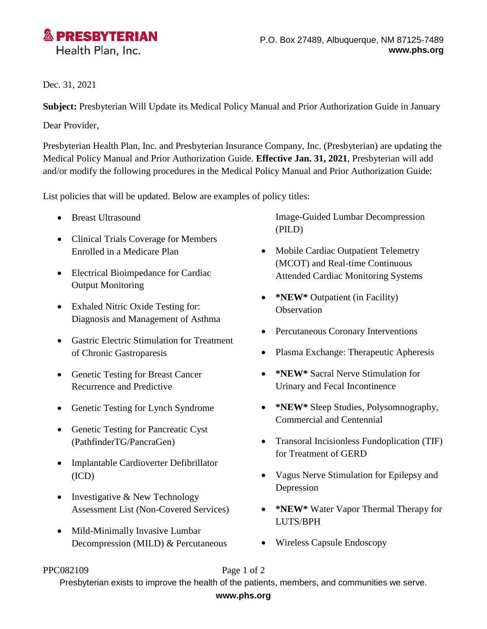

# Dec. 31, 2021

**Subject:** Presbyterian Will Update its Medical Policy Manual and Prior Authorization Guide in January

Dear Provider,

Presbyterian Health Plan, Inc. and Presbyterian Insurance Company, Inc. (Presbyterian) are updating the Medical Policy Manual and Prior Authorization Guide. **Effective Jan. 31, 2021**, Presbyterian will add and/or modify the following procedures in the Medical Policy Manual and Prior Authorization Guide:

List policies that will be updated. Below are examples of policy titles:

- Breast Ultrasound
- Clinical Trials Coverage for Members Enrolled in a Medicare Plan
- Electrical Bioimpedance for Cardiac Output Monitoring
- Exhaled Nitric Oxide Testing for: Diagnosis and Management of Asthma
- Gastric Electric Stimulation for Treatment of Chronic Gastroparesis
- Genetic Testing for Breast Cancer Recurrence and Predictive
- Genetic Testing for Lynch Syndrome
- Genetic Testing for Pancreatic Cyst (PathfinderTG/PancraGen)
- Implantable Cardioverter Defibrillator (ICD)
- Investigative & New Technology Assessment List (Non-Covered Services)
- Mild-Minimally Invasive Lumbar Decompression (MILD) & Percutaneous

Image-Guided Lumbar Decompression (PILD)

- Mobile Cardiac Outpatient Telemetry (MCOT) and Real-time Continuous Attended Cardiac Monitoring Systems
- **\*NEW\*** Outpatient (in Facility) **Observation**
- Percutaneous Coronary Interventions
- Plasma Exchange: Therapeutic Apheresis
- **\*NEW\*** Sacral Nerve Stimulation for Urinary and Fecal Incontinence
- **\*NEW\*** Sleep Studies, Polysomnography, Commercial and Centennial
- Transoral Incisionless Fundoplication (TIF) for Treatment of GERD
- Vagus Nerve Stimulation for Epilepsy and Depression
- **\*NEW\*** Water Vapor Thermal Therapy for LUTS/BPH
- Wireless Capsule Endoscopy

### PPC082109 Page 1 of 2

Presbyterian exists to improve the health of the patients, members, and communities we serve.

## **www.phs.org**